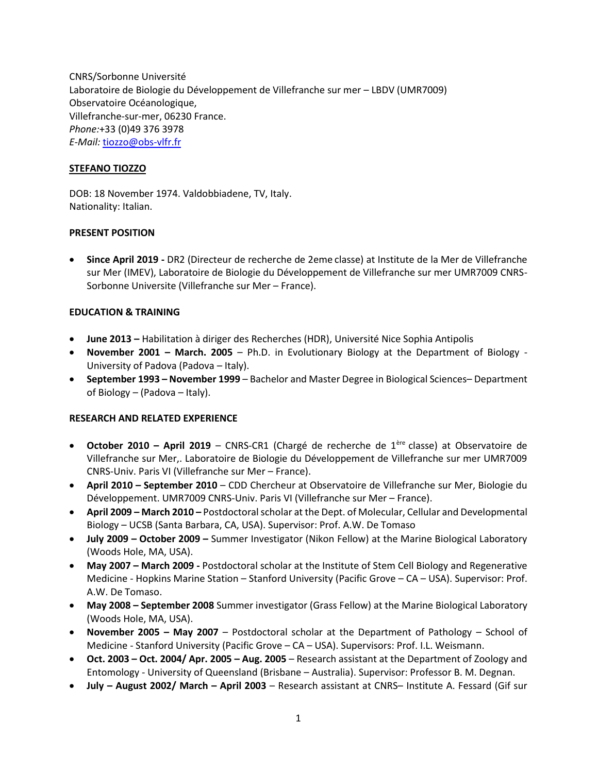CNRS/Sorbonne Université Laboratoire de Biologie du Développement de Villefranche sur mer – LBDV (UMR7009) Observatoire Océanologique, Villefranche-sur-mer, 06230 France. *Phone:*+33 (0)49 376 3978 *E-Mail:* [tiozzo@obs-vlfr.fr](mailto:tiozzo@obs-vlfr.fr)

## **STEFANO TIOZZO**

DOB: 18 November 1974. Valdobbiadene, TV, Italy. Nationality: Italian.

# **PRESENT POSITION**

 **Since April 2019 -** DR2 (Directeur de recherche de 2eme classe) at Institute de la Mer de Villefranche sur Mer (IMEV), Laboratoire de Biologie du Développement de Villefranche sur mer UMR7009 CNRS-Sorbonne Universite (Villefranche sur Mer – France).

# **EDUCATION & TRAINING**

- **June 2013 –** Habilitation à diriger des Recherches (HDR), Université Nice Sophia Antipolis
- **November 2001 – March. 2005** Ph.D. in Evolutionary Biology at the Department of Biology University of Padova (Padova – Italy).
- **September 1993 – November 1999** Bachelor and Master Degree in Biological Sciences– Department of Biology – (Padova – Italy).

## **RESEARCH AND RELATED EXPERIENCE**

- **October 2010 – April 2019**  CNRS-CR1 (Chargé de recherche de 1ère classe) at Observatoire de Villefranche sur Mer,. Laboratoire de Biologie du Développement de Villefranche sur mer UMR7009 CNRS-Univ. Paris VI (Villefranche sur Mer – France).
- **April 2010 – September 2010**  CDD Chercheur at Observatoire de Villefranche sur Mer, Biologie du Développement. UMR7009 CNRS-Univ. Paris VI (Villefranche sur Mer – France).
- **April 2009 – March 2010 –** Postdoctoral scholar at the Dept. of Molecular, Cellular and Developmental Biology – UCSB (Santa Barbara, CA, USA). Supervisor: Prof. A.W. De Tomaso
- **July 2009 – October 2009 –** Summer Investigator (Nikon Fellow) at the Marine Biological Laboratory (Woods Hole, MA, USA).
- **May 2007 – March 2009 -** Postdoctoral scholar at the Institute of Stem Cell Biology and Regenerative Medicine - Hopkins Marine Station – Stanford University (Pacific Grove – CA – USA). Supervisor: Prof. A.W. De Tomaso.
- **May 2008 – September 2008** Summer investigator (Grass Fellow) at the Marine Biological Laboratory (Woods Hole, MA, USA).
- **November 2005 – May 2007** Postdoctoral scholar at the Department of Pathology School of Medicine - Stanford University (Pacific Grove – CA – USA). Supervisors: Prof. I.L. Weismann.
- **Oct. 2003 – Oct. 2004/ Apr. 2005 – Aug. 2005** Research assistant at the Department of Zoology and Entomology - University of Queensland (Brisbane – Australia). Supervisor: Professor B. M. Degnan.
- **July – August 2002/ March – April 2003** Research assistant at CNRS– Institute A. Fessard (Gif sur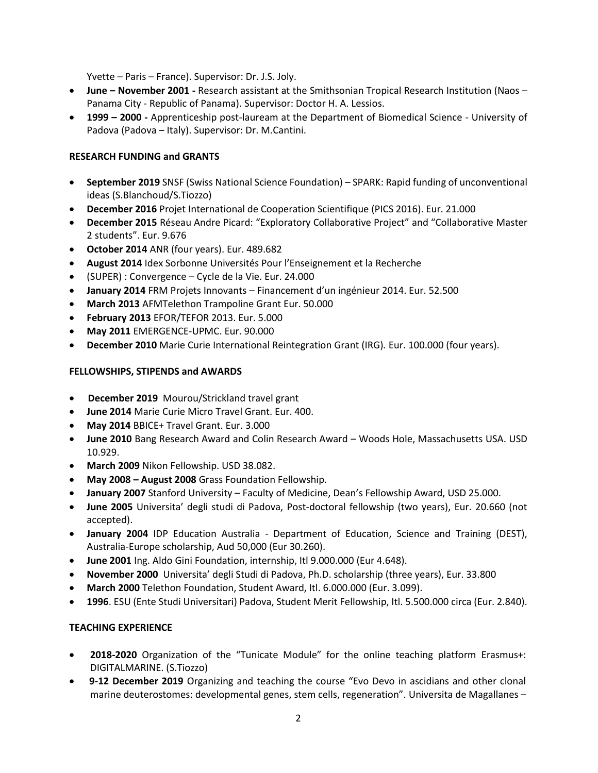Yvette – Paris – France). Supervisor: Dr. J.S. Joly.

- **June – November 2001 -** Research assistant at the Smithsonian Tropical Research Institution (Naos Panama City - Republic of Panama). Supervisor: Doctor H. A. Lessios.
- **1999 – 2000 -** Apprenticeship post-lauream at the Department of Biomedical Science University of Padova (Padova – Italy). Supervisor: Dr. M.Cantini.

# **RESEARCH FUNDING and GRANTS**

- **September 2019** SNSF (Swiss National Science Foundation) SPARK: Rapid funding of unconventional ideas (S.Blanchoud/S.Tiozzo)
- **December 2016** Projet International de Cooperation Scientifique (PICS 2016). Eur. 21.000
- **December 2015** Réseau Andre Picard: "Exploratory Collaborative Project" and "Collaborative Master 2 students". Eur. 9.676
- **October 2014** ANR (four years). Eur. 489.682
- **August 2014** Idex Sorbonne Universités Pour l'Enseignement et la Recherche
- (SUPER) : Convergence Cycle de la Vie. Eur. 24.000
- **January 2014** FRM Projets Innovants Financement d'un ingénieur 2014. Eur. 52.500
- **March 2013** AFMTelethon Trampoline Grant Eur. 50.000
- **February 2013** EFOR/TEFOR 2013. Eur. 5.000
- **May 2011** EMERGENCE-UPMC. Eur. 90.000
- **December 2010** Marie Curie International Reintegration Grant (IRG)*.* Eur. 100.000 (four years).

# **FELLOWSHIPS, STIPENDS and AWARDS**

- **December 2019** Mourou/Strickland travel grant
- **June 2014** Marie Curie Micro Travel Grant. Eur. 400.
- **May 2014** BBICE+ Travel Grant. Eur. 3.000
- **June 2010** Bang Research Award and Colin Research Award Woods Hole, Massachusetts USA. USD 10.929.
- **March 2009** Nikon Fellowship. USD 38.082.
- **May 2008 – August 2008** Grass Foundation Fellowship.
- **January 2007** Stanford University Faculty of Medicine, Dean's Fellowship Award, USD 25.000.
- **June 2005** Universita' degli studi di Padova, Post-doctoral fellowship (two years), Eur. 20.660 (not accepted).
- **January 2004** IDP Education Australia Department of Education, Science and Training (DEST), Australia-Europe scholarship, Aud 50,000 (Eur 30.260).
- **June 2001** Ing. Aldo Gini Foundation, internship, Itl 9.000.000 (Eur 4.648).
- **November 2000** Universita' degli Studi di Padova, Ph.D. scholarship (three years), Eur. 33.800
- **March 2000** Telethon Foundation, Student Award, Itl. 6.000.000 (Eur. 3.099).
- **1996**. ESU (Ente Studi Universitari) Padova, Student Merit Fellowship, Itl. 5.500.000 circa (Eur. 2.840).

# **TEACHING EXPERIENCE**

- **2018-2020** Organization of the "Tunicate Module" for the online teaching platform Erasmus+: DIGITALMARINE. (S.Tiozzo)
- **9-12 December 2019** Organizing and teaching the course "Evo Devo in ascidians and other clonal marine deuterostomes: developmental genes, stem cells, regeneration". Universita de Magallanes –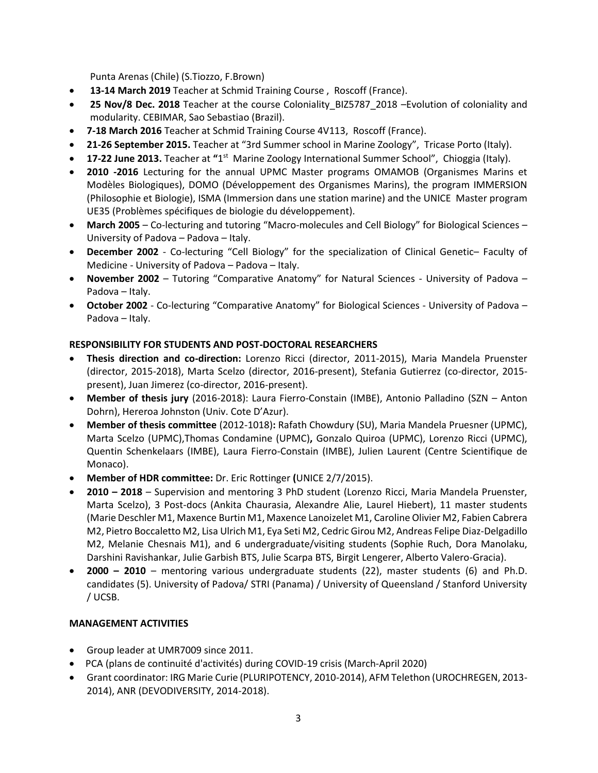Punta Arenas (Chile) (S.Tiozzo, F.Brown)

- **13-14 March 2019** Teacher at Schmid Training Course , Roscoff (France).
- **25 Nov/8 Dec. 2018** Teacher at the course Coloniality\_BIZ5787\_2018 –Evolution of coloniality and modularity. CEBIMAR, Sao Sebastiao (Brazil).
- **7-18 March 2016** Teacher at Schmid Training Course 4V113, Roscoff (France).
- **21-26 September 2015.** Teacher at "3rd Summer school in Marine Zoology",Tricase Porto (Italy).
- **17-22 June 2013.** Teacher at "1<sup>st</sup> Marine Zoology International Summer School", Chioggia (Italy).
- **2010 -2016** Lecturing for the annual UPMC Master programs OMAMOB (Organismes Marins et Modèles Biologiques), DOMO (Développement des Organismes Marins), the program IMMERSION (Philosophie et Biologie), ISMA (Immersion dans une station marine) and the UNICE Master program UE35 (Problèmes spécifiques de biologie du développement).
- **March 2005** Co-lecturing and tutoring "Macro-molecules and Cell Biology" for Biological Sciences University of Padova – Padova – Italy.
- **December 2002** Co-lecturing "Cell Biology" for the specialization of Clinical Genetic– Faculty of Medicine - University of Padova – Padova – Italy.
- **November 2002**  Tutoring "Comparative Anatomy" for Natural Sciences University of Padova Padova – Italy.
- **October 2002** Co-lecturing "Comparative Anatomy" for Biological Sciences University of Padova Padova – Italy.

# **RESPONSIBILITY FOR STUDENTS AND POST-DOCTORAL RESEARCHERS**

- **Thesis direction and co-direction:** Lorenzo Ricci (director, 2011-2015), Maria Mandela Pruenster (director, 2015-2018), Marta Scelzo (director, 2016-present), Stefania Gutierrez (co-director, 2015 present), Juan Jimerez (co-director, 2016-present).
- **Member of thesis jury** (2016-2018): Laura Fierro-Constain (IMBE), Antonio Palladino (SZN Anton Dohrn), Hereroa Johnston (Univ. Cote D'Azur).
- **Member of thesis committee** (2012-1018)**:** Rafath Chowdury (SU), Maria Mandela Pruesner (UPMC), Marta Scelzo (UPMC),Thomas Condamine (UPMC)**,** Gonzalo Quiroa (UPMC), Lorenzo Ricci (UPMC), Quentin Schenkelaars (IMBE), Laura Fierro-Constain (IMBE), Julien Laurent (Centre Scientifique de Monaco).
- **Member of HDR committee:** Dr. Eric Rottinger **(**UNICE 2/7/2015).
- **2010 – 2018**  Supervision and mentoring 3 PhD student (Lorenzo Ricci, Maria Mandela Pruenster, Marta Scelzo), 3 Post-docs (Ankita Chaurasia, Alexandre Alie, Laurel Hiebert), 11 master students (Marie Deschler M1, Maxence Burtin M1, Maxence Lanoizelet M1, Caroline Olivier M2, Fabien Cabrera M2, Pietro Boccaletto M2, Lisa Ulrich M1, Eya Seti M2, Cedric Girou M2, Andreas Felipe Diaz-Delgadillo M2, Melanie Chesnais M1), and 6 undergraduate/visiting students (Sophie Ruch, Dora Manolaku, Darshini Ravishankar, Julie Garbish BTS, Julie Scarpa BTS, Birgit Lengerer, Alberto Valero-Gracia).
- **2000 – 2010** mentoring various undergraduate students (22), master students (6) and Ph.D. candidates (5). University of Padova/ STRI (Panama) / University of Queensland / Stanford University / UCSB.

# **MANAGEMENT ACTIVITIES**

- Group leader at UMR7009 since 2011.
- PCA (plans de continuité d'activités) during COVID-19 crisis (March-April 2020)
- Grant coordinator: IRG Marie Curie (PLURIPOTENCY, 2010-2014), AFM Telethon (UROCHREGEN, 2013- 2014), ANR (DEVODIVERSITY, 2014-2018).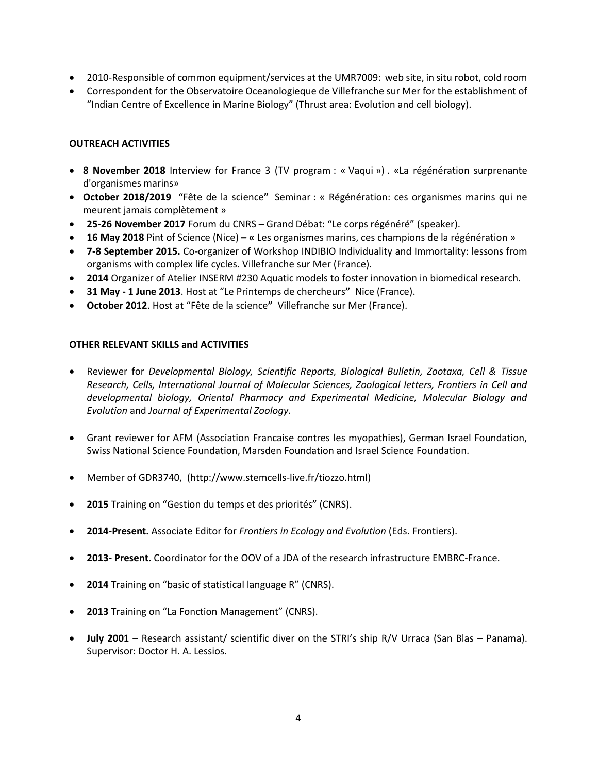- 2010-Responsible of common equipment/services at the UMR7009: web site, in situ robot, cold room
- Correspondent for the Observatoire Oceanologieque de Villefranche sur Mer for the establishment of "Indian Centre of Excellence in Marine Biology" (Thrust area: Evolution and cell biology).

## **OUTREACH ACTIVITIES**

- **8 November 2018** Interview for France 3 (TV program : « Vaqui ») . «La régénération surprenante d'organismes marins»
- **October 2018/2019** "Fête de la science**"** Seminar : « Régénération: ces organismes marins qui ne meurent jamais complètement »
- **25-26 November 2017** Forum du CNRS Grand Débat: "Le corps régénéré" (speaker).
- **16 May 2018** Pint of Science (Nice) **– «** Les organismes marins, ces champions de la régénération »
- **7-8 September 2015.** Co-organizer of Workshop INDIBIO Individuality and Immortality: lessons from organisms with complex life cycles. Villefranche sur Mer (France).
- **2014** Organizer of Atelier INSERM #230 Aquatic models to foster innovation in biomedical research.
- **31 May - 1 June 2013**. Host at "Le Printemps de chercheurs**"** Nice (France).
- **October 2012**. Host at "Fête de la science**"** Villefranche sur Mer (France).

## **OTHER RELEVANT SKILLS and ACTIVITIES**

- Reviewer for *Developmental Biology, Scientific Reports, Biological Bulletin, Zootaxa, Cell & Tissue Research, Cells, International Journal of Molecular Sciences, Zoological letters, Frontiers in Cell and developmental biology, Oriental Pharmacy and Experimental Medicine, Molecular Biology and Evolution* and *Journal of Experimental Zoology.*
- Grant reviewer for AFM (Association Francaise contres les myopathies), German Israel Foundation, Swiss National Science Foundation, Marsden Foundation and Israel Science Foundation.
- Member of GDR3740, (http://www.stemcells-live.fr/tiozzo.html)
- **2015** Training on "Gestion du temps et des priorités" (CNRS).
- **2014-Present.** Associate Editor for *Frontiers in Ecology and Evolution* (Eds. Frontiers).
- **2013- Present.** Coordinator for the OOV of a JDA of the research infrastructure EMBRC-France.
- **2014** Training on "basic of statistical language R" (CNRS).
- **2013** Training on "La Fonction Management" (CNRS).
- **July 2001** Research assistant/ scientific diver on the STRI's ship R/V Urraca (San Blas Panama). Supervisor: Doctor H. A. Lessios.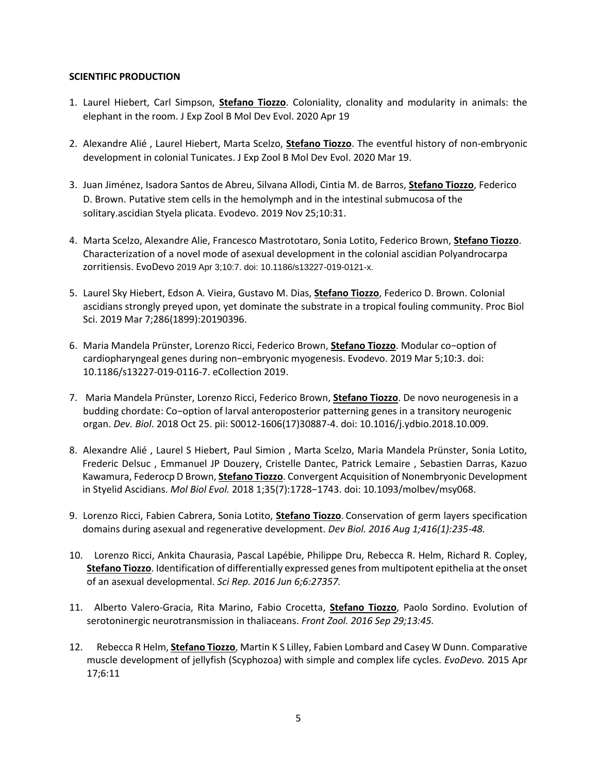## **SCIENTIFIC PRODUCTION**

- 1. Laurel Hiebert, Carl Simpson, **Stefano Tiozzo**. Coloniality, clonality and modularity in animals: the elephant in the room. J Exp Zool B Mol Dev Evol. 2020 Apr 19
- 2. Alexandre Alié , Laurel Hiebert, Marta Scelzo, **Stefano Tiozzo**. The eventful history of non-embryonic development in colonial Tunicates. J Exp Zool B Mol Dev Evol. 2020 Mar 19.
- 3. Juan Jiménez, Isadora Santos de Abreu, Silvana Allodi, Cintia M. de Barros, **Stefano Tiozzo**, Federico D. Brown. Putative stem cells in the hemolymph and in the intestinal submucosa of the solitary.ascidian Styela plicata. Evodevo. 2019 Nov 25;10:31.
- 4. Marta Scelzo, Alexandre Alie, Francesco Mastrototaro, Sonia Lotito, Federico Brown, **Stefano Tiozzo**. Characterization of a novel mode of asexual development in the colonial ascidian Polyandrocarpa zorritiensis. EvoDevo 2019 Apr 3;10:7. doi: 10.1186/s13227-019-0121-x.
- 5. Laurel Sky Hiebert, Edson A. Vieira, Gustavo M. Dias, **Stefano Tiozzo**, Federico D. Brown. Colonial ascidians strongly preyed upon, yet dominate the substrate in a tropical fouling community. Proc Biol Sci. 2019 Mar 7;286(1899):20190396.
- 6. Maria Mandela Prünster, Lorenzo Ricci, Federico Brown, **Stefano Tiozzo**. Modular co−option of cardiopharyngeal genes during non−embryonic myogenesis. Evodevo. 2019 Mar 5;10:3. doi: 10.1186/s13227-019-0116-7. eCollection 2019.
- 7. Maria Mandela Prünster, Lorenzo Ricci, Federico Brown, **Stefano Tiozzo**. De novo neurogenesis in a budding chordate: Co−option of larval anteroposterior patterning genes in a transitory neurogenic organ. *Dev. Biol*. 2018 Oct 25. pii: S0012-1606(17)30887-4. doi: 10.1016/j.ydbio.2018.10.009.
- 8. Alexandre Alié , Laurel S Hiebert, Paul Simion , Marta Scelzo, Maria Mandela Prünster, Sonia Lotito, Frederic Delsuc , Emmanuel JP Douzery, Cristelle Dantec, Patrick Lemaire , Sebastien Darras, Kazuo Kawamura, Federocp D Brown, **Stefano Tiozzo**. Convergent Acquisition of Nonembryonic Development in Styelid Ascidians. *Mol Biol Evol.* 2018 1;35(7):1728−1743. doi: 10.1093/molbev/msy068.
- 9. Lorenzo Ricci, Fabien Cabrera, Sonia Lotito, **Stefano Tiozzo**. Conservation of germ layers specification domains during asexual and regenerative development. *Dev Biol. 2016 Aug 1;416(1):235-48.*
- 10. Lorenzo Ricci, Ankita Chaurasia, Pascal Lapébie, Philippe Dru, Rebecca R. Helm, Richard R. Copley, **Stefano Tiozzo**. Identification of differentially expressed genes from multipotent epithelia at the onset of an asexual developmental. *Sci Rep. 2016 Jun 6;6:27357.*
- 11. Alberto Valero-Gracia, Rita Marino, Fabio Crocetta, **Stefano Tiozzo**, Paolo Sordino. Evolution of serotoninergic neurotransmission in thaliaceans. *Front Zool. 2016 Sep 29;13:45.*
- 12. Rebecca R Helm, **Stefano Tiozzo**, Martin K S Lilley, Fabien Lombard and Casey W Dunn. Comparative muscle development of jellyfish (Scyphozoa) with simple and complex life cycles. *EvoDevo.* 2015 Apr 17;6:11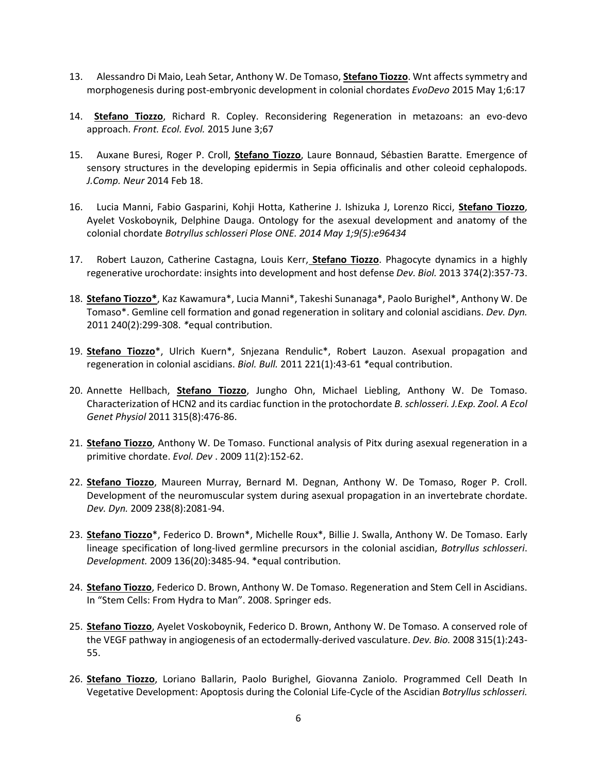- 13. Alessandro Di Maio, Leah Setar, Anthony W. De Tomaso, **Stefano Tiozzo**. Wnt affects symmetry and morphogenesis during post-embryonic development in colonial chordates *EvoDevo* 2015 May 1;6:17
- 14. **Stefano Tiozzo**, Richard R. Copley. Reconsidering Regeneration in metazoans: an evo-devo approach. *Front. Ecol. Evol.* 2015 June 3;67
- 15. Auxane Buresi, Roger P. Croll, **Stefano Tiozzo**, Laure Bonnaud, Sébastien Baratte. Emergence of sensory structures in the developing epidermis in Sepia officinalis and other coleoid cephalopods*. J.Comp. Neur* 2014 Feb 18.
- 16. Lucia Manni, Fabio Gasparini, Kohji Hotta, Katherine J. Ishizuka J, Lorenzo Ricci, **Stefano Tiozzo**, Ayelet Voskoboynik, Delphine Dauga. Ontology for the asexual development and anatomy of the colonial chordate *Botryllus schlosseri Plose ONE. 2014 May 1;9(5):e96434*
- 17. Robert Lauzon, Catherine Castagna, Louis Kerr, **Stefano Tiozzo**. Phagocyte dynamics in a highly regenerative urochordate: insights into development and host defense *Dev. Biol.* 2013 374(2):357-73.
- 18. **Stefano Tiozzo\***, Kaz Kawamura\*, Lucia Manni\*, Takeshi Sunanaga\*, Paolo Burighel\*, Anthony W. De Tomaso\*. Gemline cell formation and gonad regeneration in solitary and colonial ascidians. *Dev. Dyn.*  2011 240(2):299-308. *\**equal contribution.
- 19. **Stefano Tiozzo**\*, Ulrich Kuern\*, Snjezana Rendulic\*, Robert Lauzon. Asexual propagation and regeneration in colonial ascidians. *Biol. Bull.* 2011 221(1):43-61 *\**equal contribution.
- 20. Annette Hellbach, **Stefano Tiozzo**, Jungho Ohn, Michael Liebling, Anthony W. De Tomaso. Characterization of HCN2 and its cardiac function in the protochordate *B. schlosseri. J.Exp. Zool. A Ecol Genet Physiol* 2011 315(8):476-86.
- 21. **Stefano Tiozzo**, Anthony W. De Tomaso. Functional analysis of Pitx during asexual regeneration in a primitive chordate. *Evol. Dev* . 2009 11(2):152-62.
- 22. **Stefano Tiozzo**, Maureen Murray, Bernard M. Degnan, Anthony W. De Tomaso, Roger P. Croll. Development of the neuromuscular system during asexual propagation in an invertebrate chordate. *Dev. Dyn.* 2009 238(8):2081-94.
- 23. **Stefano Tiozzo**\*, Federico D. Brown\*, Michelle Roux\*, Billie J. Swalla, Anthony W. De Tomaso. Early lineage specification of long-lived germline precursors in the colonial ascidian, *Botryllus schlosseri*. *Development.* 2009 136(20):3485-94. \*equal contribution.
- 24. **Stefano Tiozzo**, Federico D. Brown, Anthony W. De Tomaso. Regeneration and Stem Cell in Ascidians. In "Stem Cells: From Hydra to Man". 2008. Springer eds.
- 25. **Stefano Tiozzo**, Ayelet Voskoboynik, Federico D. Brown, Anthony W. De Tomaso*.* A conserved role of the VEGF pathway in angiogenesis of an ectodermally-derived vasculature. *Dev. Bio.* 2008 315(1):243- 55.
- 26. **Stefano Tiozzo**, Loriano Ballarin, Paolo Burighel, Giovanna Zaniolo*.* Programmed Cell Death In Vegetative Development: Apoptosis during the Colonial Life-Cycle of the Ascidian *Botryllus schlosseri.*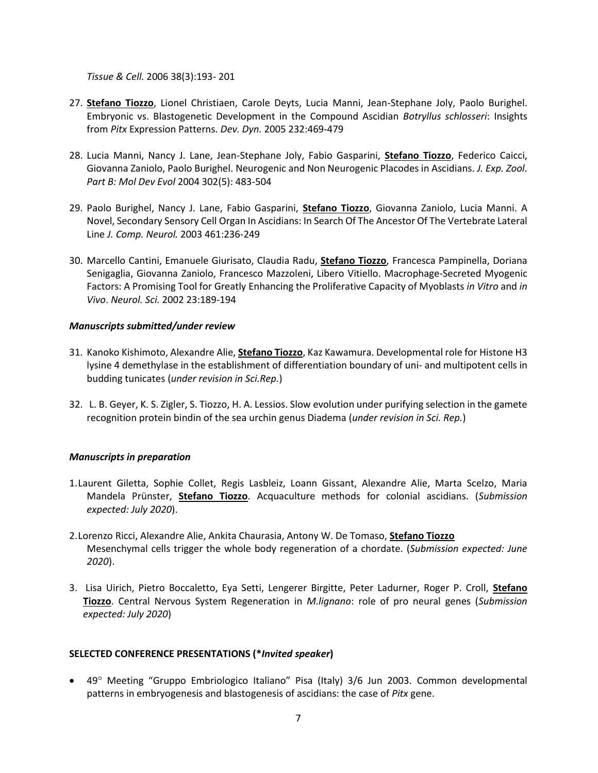*Tissue & Cell.* 2006 38(3):193- 201

- 27. **Stefano Tiozzo**, Lionel Christiaen, Carole Deyts, Lucia Manni, Jean-Stephane Joly, Paolo Burighel. Embryonic vs. Blastogenetic Development in the Compound Ascidian *Botryllus schlosseri*: Insights from *Pitx* Expression Patterns. *Dev. Dyn.* 2005 232:469-479
- 28. Lucia Manni, Nancy J. Lane, Jean-Stephane Joly, Fabio Gasparini, **Stefano Tiozzo**, Federico Caicci, Giovanna Zaniolo, Paolo Burighel. Neurogenic and Non Neurogenic Placodes in Ascidians. *J. Exp. Zool*. *Part B: Mol Dev Evol* 2004 302(5): 483-504
- 29. Paolo Burighel, Nancy J. Lane, Fabio Gasparini, **Stefano Tiozzo**, Giovanna Zaniolo, Lucia Manni. A Novel, Secondary Sensory Cell Organ In Ascidians: In Search Of The Ancestor Of The Vertebrate Lateral Line *J. Comp. Neurol.* 2003 461:236-249
- 30. Marcello Cantini, Emanuele Giurisato, Claudia Radu, **Stefano Tiozzo**, Francesca Pampinella, Doriana Senigaglia, Giovanna Zaniolo, Francesco Mazzoleni, Libero Vitiello. Macrophage-Secreted Myogenic Factors: A Promising Tool for Greatly Enhancing the Proliferative Capacity of Myoblasts *in Vitro* and *in Vivo*. *Neurol. Sci.* 2002 23:189-194

#### *Manuscripts submitted/under review*

- 31. Kanoko Kishimoto, Alexandre Alie, **Stefano Tiozzo**, Kaz Kawamura. Developmental role for Histone H3 lysine 4 demethylase in the establishment of differentiation boundary of uni- and multipotent cells in budding tunicates (*under revision in Sci.Rep.*)
- 32. L. B. Geyer, K. S. Zigler, S. Tiozzo, H. A. Lessios. Slow evolution under purifying selection in the gamete recognition protein bindin of the sea urchin genus Diadema (*under revision in Sci. Rep.*)

## *Manuscripts in preparation*

- 1.Laurent Giletta, Sophie Collet, Regis Lasbleiz, Loann Gissant, Alexandre Alie, Marta Scelzo, Maria Mandela Prünster, **Stefano Tiozzo**. Acquaculture methods for colonial ascidians. (*Submission expected: July 2020*).
- 2.Lorenzo Ricci, Alexandre Alie, Ankita Chaurasia, Antony W. De Tomaso, **Stefano Tiozzo** Mesenchymal cells trigger the whole body regeneration of a chordate*.* (*Submission expected: June 2020*).
- 3. Lisa Uirich, Pietro Boccaletto, Eya Setti, Lengerer Birgitte, Peter Ladurner, Roger P. Croll, **Stefano Tiozzo**. Central Nervous System Regeneration in *M.lignano*: role of pro neural genes (*Submission expected: July 2020*)

## **SELECTED CONFERENCE PRESENTATIONS (\****Invited speaker***)**

• 49° Meeting "Gruppo Embriologico Italiano" Pisa (Italy) 3/6 Jun 2003. Common developmental patterns in embryogenesis and blastogenesis of ascidians: the case of *Pitx* gene.